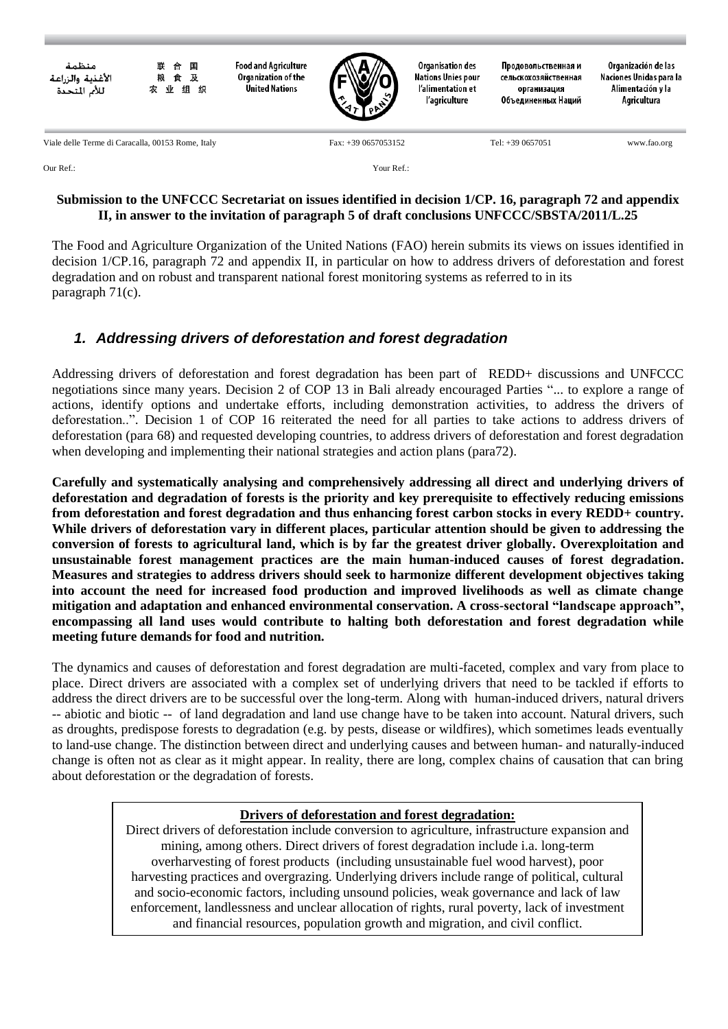

Our Ref.: Your Ref.:

#### **Submission to the UNFCCC Secretariat on issues identified in decision 1/CP. 16, paragraph 72 and appendix II, in answer to the invitation of paragraph 5 of draft conclusions UNFCCC/SBSTA/2011/L.25**

The Food and Agriculture Organization of the United Nations (FAO) herein submits its views on issues identified in decision 1/CP.16, paragraph 72 and appendix II, in particular on how to address drivers of deforestation and forest degradation and on robust and transparent national forest monitoring systems as referred to in its paragraph 71(c).

# *1. Addressing drivers of deforestation and forest degradation*

Addressing drivers of deforestation and forest degradation has been part of REDD+ discussions and UNFCCC negotiations since many years. Decision 2 of COP 13 in Bali already encouraged Parties "... to explore a range of actions, identify options and undertake efforts, including demonstration activities, to address the drivers of deforestation..". Decision 1 of COP 16 reiterated the need for all parties to take actions to address drivers of deforestation (para 68) and requested developing countries, to address drivers of deforestation and forest degradation when developing and implementing their national strategies and action plans (para72).

**Carefully and systematically analysing and comprehensively addressing all direct and underlying drivers of deforestation and degradation of forests is the priority and key prerequisite to effectively reducing emissions from deforestation and forest degradation and thus enhancing forest carbon stocks in every REDD+ country. While drivers of deforestation vary in different places, particular attention should be given to addressing the conversion of forests to agricultural land, which is by far the greatest driver globally. Overexploitation and unsustainable forest management practices are the main human-induced causes of forest degradation. Measures and strategies to address drivers should seek to harmonize different development objectives taking into account the need for increased food production and improved livelihoods as well as climate change mitigation and adaptation and enhanced environmental conservation. A cross-sectoral "landscape approach", encompassing all land uses would contribute to halting both deforestation and forest degradation while meeting future demands for food and nutrition.**

The dynamics and causes of deforestation and forest degradation are multi-faceted, complex and vary from place to place. Direct drivers are associated with a complex set of underlying drivers that need to be tackled if efforts to address the direct drivers are to be successful over the long-term. Along with human-induced drivers, natural drivers -- abiotic and biotic -- of land degradation and land use change have to be taken into account. Natural drivers, such as droughts, predispose forests to degradation (e.g. by pests, disease or wildfires), which sometimes leads eventually to land-use change. The distinction between direct and underlying causes and between human- and naturally-induced change is often not as clear as it might appear. In reality, there are long, complex chains of causation that can bring about deforestation or the degradation of forests.

### **Drivers of deforestation and forest degradation:**

Direct drivers of deforestation include conversion to agriculture, infrastructure expansion and mining, among others. Direct drivers of forest degradation include i.a. long-term overharvesting of forest products (including unsustainable fuel wood harvest), poor harvesting practices and overgrazing. Underlying drivers include range of political, cultural and socio-economic factors, including unsound policies, weak governance and lack of law enforcement, landlessness and unclear allocation of rights, rural poverty, lack of investment and financial resources, population growth and migration, and civil conflict.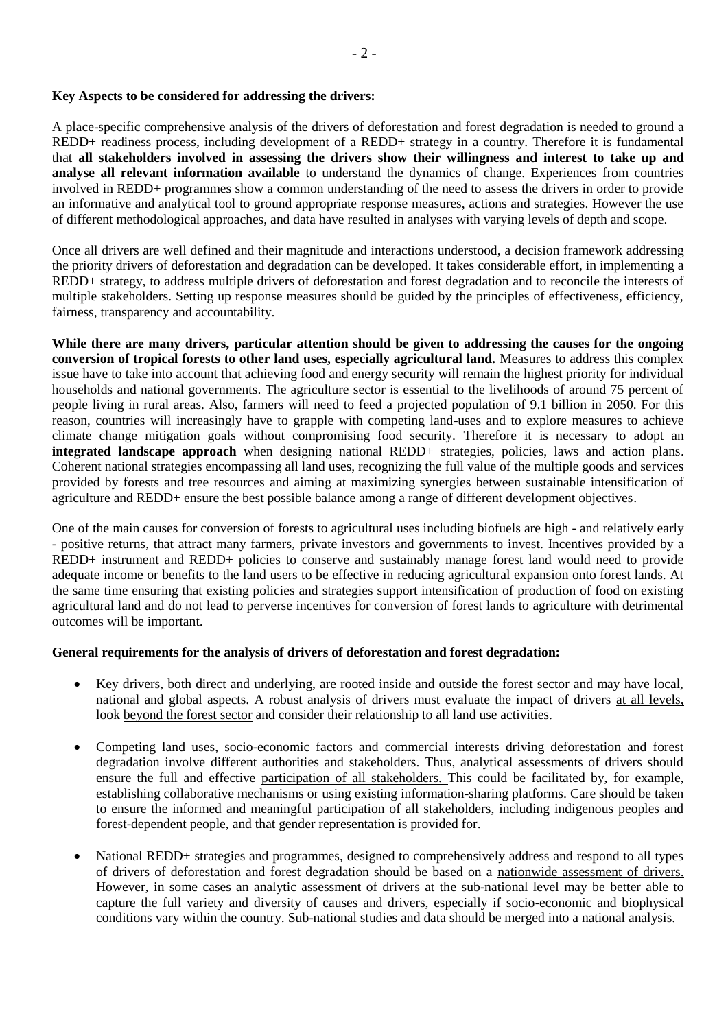#### **Key Aspects to be considered for addressing the drivers:**

A place-specific comprehensive analysis of the drivers of deforestation and forest degradation is needed to ground a REDD+ readiness process, including development of a REDD+ strategy in a country. Therefore it is fundamental that **all stakeholders involved in assessing the drivers show their willingness and interest to take up and analyse all relevant information available** to understand the dynamics of change. Experiences from countries involved in REDD+ programmes show a common understanding of the need to assess the drivers in order to provide an informative and analytical tool to ground appropriate response measures, actions and strategies. However the use of different methodological approaches, and data have resulted in analyses with varying levels of depth and scope.

Once all drivers are well defined and their magnitude and interactions understood, a decision framework addressing the priority drivers of deforestation and degradation can be developed. It takes considerable effort, in implementing a REDD+ strategy, to address multiple drivers of deforestation and forest degradation and to reconcile the interests of multiple stakeholders. Setting up response measures should be guided by the principles of effectiveness, efficiency, fairness, transparency and accountability.

**While there are many drivers, particular attention should be given to addressing the causes for the ongoing conversion of tropical forests to other land uses, especially agricultural land.** Measures to address this complex issue have to take into account that achieving food and energy security will remain the highest priority for individual households and national governments. The agriculture sector is essential to the livelihoods of around 75 percent of people living in rural areas. Also, farmers will need to feed a projected population of 9.1 billion in 2050. For this reason, countries will increasingly have to grapple with competing land-uses and to explore measures to achieve climate change mitigation goals without compromising food security. Therefore it is necessary to adopt an **integrated landscape approach** when designing national REDD+ strategies, policies, laws and action plans. Coherent national strategies encompassing all land uses, recognizing the full value of the multiple goods and services provided by forests and tree resources and aiming at maximizing synergies between sustainable intensification of agriculture and REDD+ ensure the best possible balance among a range of different development objectives.

One of the main causes for conversion of forests to agricultural uses including biofuels are high - and relatively early - positive returns, that attract many farmers, private investors and governments to invest. Incentives provided by a REDD+ instrument and REDD+ policies to conserve and sustainably manage forest land would need to provide adequate income or benefits to the land users to be effective in reducing agricultural expansion onto forest lands. At the same time ensuring that existing policies and strategies support intensification of production of food on existing agricultural land and do not lead to perverse incentives for conversion of forest lands to agriculture with detrimental outcomes will be important.

#### **General requirements for the analysis of drivers of deforestation and forest degradation:**

- Key drivers, both direct and underlying, are rooted inside and outside the forest sector and may have local, national and global aspects. A robust analysis of drivers must evaluate the impact of drivers at all levels, look beyond the forest sector and consider their relationship to all land use activities.
- Competing land uses, socio-economic factors and commercial interests driving deforestation and forest degradation involve different authorities and stakeholders. Thus, analytical assessments of drivers should ensure the full and effective participation of all stakeholders. This could be facilitated by, for example, establishing collaborative mechanisms or using existing information-sharing platforms. Care should be taken to ensure the informed and meaningful participation of all stakeholders, including indigenous peoples and forest-dependent people, and that gender representation is provided for.
- National REDD+ strategies and programmes, designed to comprehensively address and respond to all types of drivers of deforestation and forest degradation should be based on a nationwide assessment of drivers. However, in some cases an analytic assessment of drivers at the sub-national level may be better able to capture the full variety and diversity of causes and drivers, especially if socio-economic and biophysical conditions vary within the country. Sub-national studies and data should be merged into a national analysis.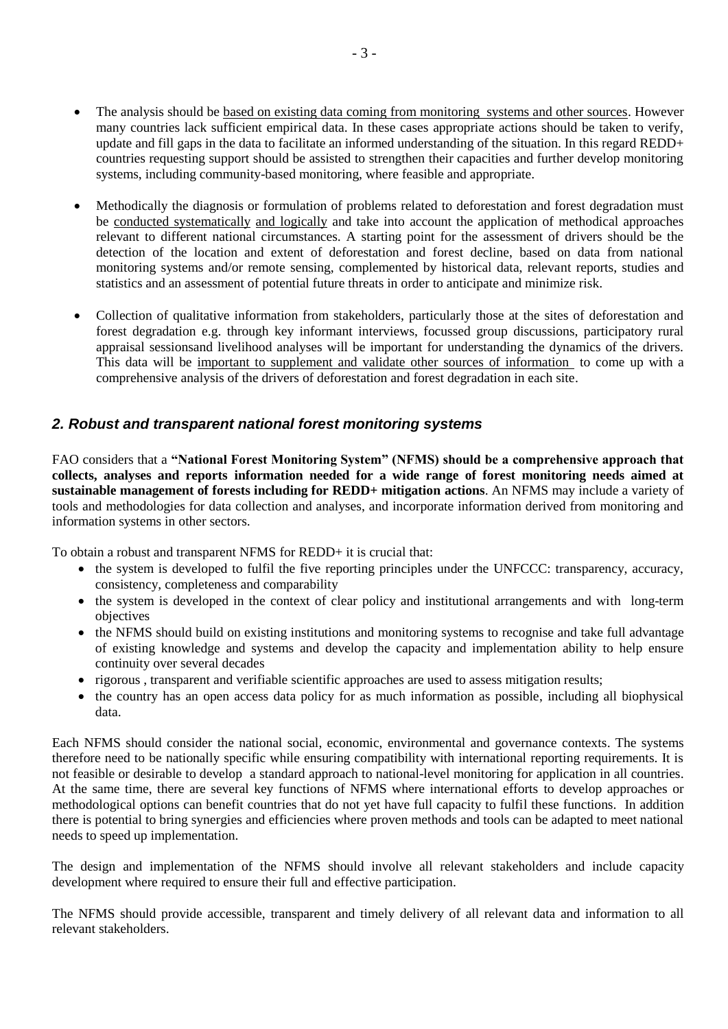- The analysis should be based on existing data coming from monitoring systems and other sources. However many countries lack sufficient empirical data. In these cases appropriate actions should be taken to verify, update and fill gaps in the data to facilitate an informed understanding of the situation. In this regard REDD+ countries requesting support should be assisted to strengthen their capacities and further develop monitoring systems, including community-based monitoring, where feasible and appropriate.
- Methodically the diagnosis or formulation of problems related to deforestation and forest degradation must be conducted systematically and logically and take into account the application of methodical approaches relevant to different national circumstances. A starting point for the assessment of drivers should be the detection of the location and extent of deforestation and forest decline, based on data from national monitoring systems and/or remote sensing, complemented by historical data, relevant reports, studies and statistics and an assessment of potential future threats in order to anticipate and minimize risk.
- Collection of qualitative information from stakeholders, particularly those at the sites of deforestation and forest degradation e.g. through key informant interviews, focussed group discussions, participatory rural appraisal sessionsand livelihood analyses will be important for understanding the dynamics of the drivers. This data will be important to supplement and validate other sources of information to come up with a comprehensive analysis of the drivers of deforestation and forest degradation in each site.

## *2. Robust and transparent national forest monitoring systems*

FAO considers that a **"National Forest Monitoring System" (NFMS) should be a comprehensive approach that collects, analyses and reports information needed for a wide range of forest monitoring needs aimed at sustainable management of forests including for REDD+ mitigation actions**. An NFMS may include a variety of tools and methodologies for data collection and analyses, and incorporate information derived from monitoring and information systems in other sectors.

To obtain a robust and transparent NFMS for REDD+ it is crucial that:

- the system is developed to fulfil the five reporting principles under the UNFCCC: transparency, accuracy, consistency, completeness and comparability
- the system is developed in the context of clear policy and institutional arrangements and with long-term objectives
- the NFMS should build on existing institutions and monitoring systems to recognise and take full advantage of existing knowledge and systems and develop the capacity and implementation ability to help ensure continuity over several decades
- rigorous , transparent and verifiable scientific approaches are used to assess mitigation results;
- the country has an open access data policy for as much information as possible, including all biophysical data.

Each NFMS should consider the national social, economic, environmental and governance contexts. The systems therefore need to be nationally specific while ensuring compatibility with international reporting requirements. It is not feasible or desirable to develop a standard approach to national-level monitoring for application in all countries. At the same time, there are several key functions of NFMS where international efforts to develop approaches or methodological options can benefit countries that do not yet have full capacity to fulfil these functions. In addition there is potential to bring synergies and efficiencies where proven methods and tools can be adapted to meet national needs to speed up implementation.

The design and implementation of the NFMS should involve all relevant stakeholders and include capacity development where required to ensure their full and effective participation.

The NFMS should provide accessible, transparent and timely delivery of all relevant data and information to all relevant stakeholders.